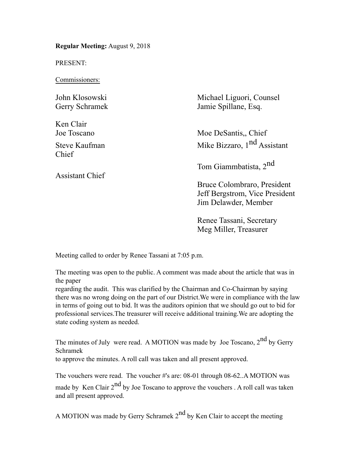**Regular Meeting:** August 9, 2018

PRESENT:

Commissioners:

| John Klosowski<br>Gerry Schramek | Michael Liguori, Counsel<br>Jamie Spillane, Esq.                                      |  |
|----------------------------------|---------------------------------------------------------------------------------------|--|
| Ken Clair<br>Joe Toscano         | Moe DeSantis, Chief                                                                   |  |
| Steve Kaufman<br>Chief           | Mike Bizzaro, 1 <sup>nd</sup> Assistant                                               |  |
| <b>Assistant Chief</b>           | Tom Giammbatista, 2 <sup>nd</sup>                                                     |  |
|                                  | Bruce Colombraro, President<br>Jeff Bergstrom, Vice President<br>Jim Delawder, Member |  |
|                                  |                                                                                       |  |

Renee Tassani, Secretary Meg Miller, Treasurer

Meeting called to order by Renee Tassani at 7:05 p.m.

The meeting was open to the public. A comment was made about the article that was in the paper

regarding the audit. This was clarified by the Chairman and Co-Chairman by saying there was no wrong doing on the part of our District.We were in compliance with the law in terms of going out to bid. It was the auditors opinion that we should go out to bid for professional services.The treasurer will receive additional training.We are adopting the state coding system as needed.

The minutes of July were read. A MOTION was made by Joe Toscano, 2<sup>nd</sup> by Gerry Schramek

to approve the minutes. A roll call was taken and all present approved.

The vouchers were read. The voucher #'s are: 08-01 through 08-62..A MOTION was made by Ken Clair  $2<sup>nd</sup>$  by Joe Toscano to approve the vouchers . A roll call was taken and all present approved.

A MOTION was made by Gerry Schramek  $2<sup>nd</sup>$  by Ken Clair to accept the meeting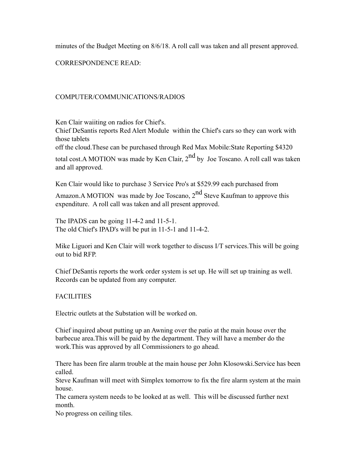minutes of the Budget Meeting on 8/6/18. A roll call was taken and all present approved.

CORRESPONDENCE READ:

# COMPUTER/COMMUNICATIONS/RADIOS

Ken Clair waiiting on radios for Chief's.

Chief DeSantis reports Red Alert Module within the Chief's cars so they can work with those tablets

off the cloud.These can be purchased through Red Max Mobile:State Reporting \$4320

total cost.A MOTION was made by Ken Clair,  $2<sup>nd</sup>$  by Joe Toscano. A roll call was taken and all approved.

Ken Clair would like to purchase 3 Service Pro's at \$529.99 each purchased from

Amazon.A MOTION was made by Joe Toscano,  $2<sup>nd</sup>$  Steve Kaufman to approve this expenditure. A roll call was taken and all present approved.

The IPADS can be going 11-4-2 and 11-5-1. The old Chief's IPAD's will be put in 11-5-1 and 11-4-2.

Mike Liguori and Ken Clair will work together to discuss I/T services.This will be going out to bid RFP.

Chief DeSantis reports the work order system is set up. He will set up training as well. Records can be updated from any computer.

**FACILITIES** 

Electric outlets at the Substation will be worked on.

Chief inquired about putting up an Awning over the patio at the main house over the barbecue area.This will be paid by the department. They will have a member do the work.This was approved by all Commissioners to go ahead.

There has been fire alarm trouble at the main house per John Klosowski.Service has been called.

Steve Kaufman will meet with Simplex tomorrow to fix the fire alarm system at the main house.

The camera system needs to be looked at as well. This will be discussed further next month.

No progress on ceiling tiles.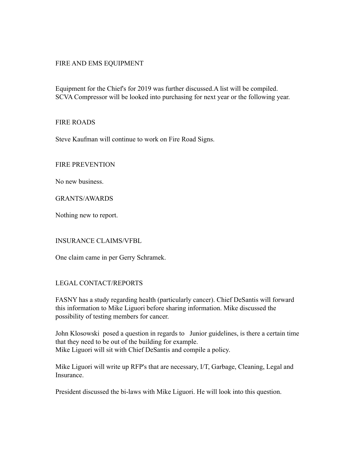## FIRE AND EMS EQUIPMENT

Equipment for the Chief's for 2019 was further discussed.A list will be compiled. SCVA Compressor will be looked into purchasing for next year or the following year.

## FIRE ROADS

Steve Kaufman will continue to work on Fire Road Signs.

FIRE PREVENTION

No new business.

GRANTS/AWARDS

Nothing new to report.

## INSURANCE CLAIMS/VFBL

One claim came in per Gerry Schramek.

## LEGAL CONTACT/REPORTS

FASNY has a study regarding health (particularly cancer). Chief DeSantis will forward this information to Mike Liguori before sharing information. Mike discussed the possibility of testing members for cancer.

John Klosowski posed a question in regards to Junior guidelines, is there a certain time that they need to be out of the building for example. Mike Liguori will sit with Chief DeSantis and compile a policy.

Mike Liguori will write up RFP's that are necessary, I/T, Garbage, Cleaning, Legal and Insurance.

President discussed the bi-laws with Mike Liguori. He will look into this question.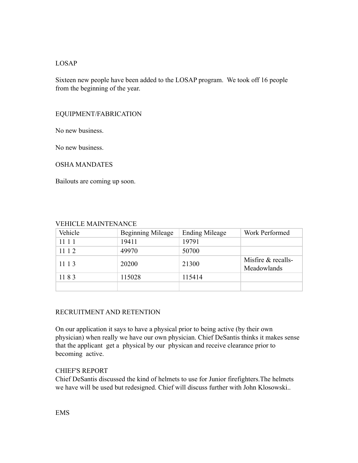## LOSAP

Sixteen new people have been added to the LOSAP program. We took off 16 people from the beginning of the year.

## EQUIPMENT/FABRICATION

No new business.

No new business.

#### OSHA MANDATES

Bailouts are coming up soon.

## VEHICLE MAINTENANCE

| Vehicle | <b>Beginning Mileage</b> | <b>Ending Mileage</b> | Work Performed                      |
|---------|--------------------------|-----------------------|-------------------------------------|
| 11 1 1  | 19411                    | 19791                 |                                     |
| 11 1 2  | 49970                    | 50700                 |                                     |
| 11 1 3  | 20200                    | 21300                 | Misfire $&$ recalls-<br>Meadowlands |
| 1183    | 115028                   | 115414                |                                     |
|         |                          |                       |                                     |

## RECRUITMENT AND RETENTION

On our application it says to have a physical prior to being active (by their own physician) when really we have our own physician. Chief DeSantis thinks it makes sense that the applicant get a physical by our physican and receive clearance prior to becoming active.

## CHIEF'S REPORT

Chief DeSantis discussed the kind of helmets to use for Junior firefighters.The helmets we have will be used but redesigned. Chief will discuss further with John Klosowski..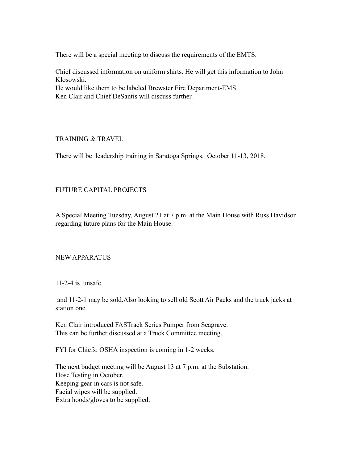There will be a special meeting to discuss the requirements of the EMTS.

Chief discussed information on uniform shirts. He will get this information to John Klosowski. He would like them to be labeled Brewster Fire Department-EMS. Ken Clair and Chief DeSantis will discuss further.

## TRAINING & TRAVEL

There will be leadership training in Saratoga Springs. October 11-13, 2018.

# FUTURE CAPITAL PROJECTS

A Special Meeting Tuesday, August 21 at 7 p.m. at the Main House with Russ Davidson regarding future plans for the Main House.

## NEW APPARATUS

11-2-4 is unsafe.

 and 11-2-1 may be sold.Also looking to sell old Scott Air Packs and the truck jacks at station one.

Ken Clair introduced FASTrack Series Pumper from Seagrave. This can be further discussed at a Truck Committee meeting.

FYI for Chiefs: OSHA inspection is coming in 1-2 weeks.

The next budget meeting will be August 13 at 7 p.m. at the Substation. Hose Testing in October. Keeping gear in cars is not safe. Facial wipes will be supplied. Extra hoods/gloves to be supplied.